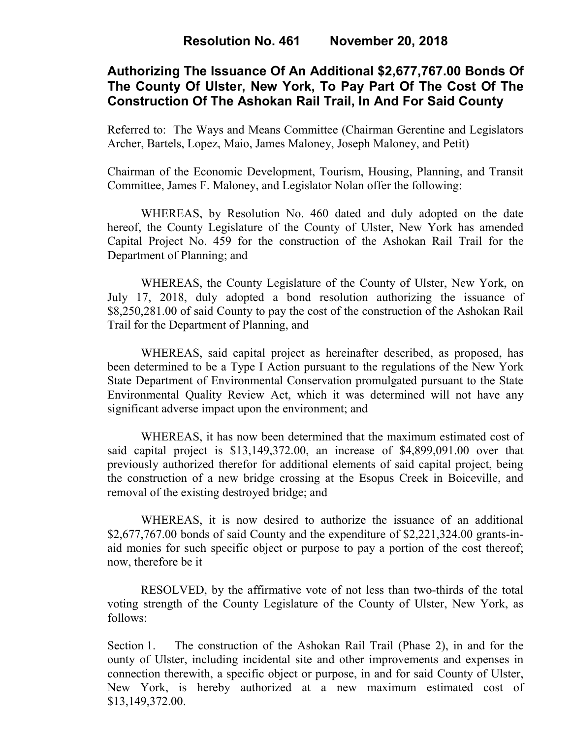# **Authorizing The Issuance Of An Additional \$2,677,767.00 Bonds Of The County Of Ulster, New York, To Pay Part Of The Cost Of The Construction Of The Ashokan Rail Trail, In And For Said County**

Referred to: The Ways and Means Committee (Chairman Gerentine and Legislators Archer, Bartels, Lopez, Maio, James Maloney, Joseph Maloney, and Petit)

Chairman of the Economic Development, Tourism, Housing, Planning, and Transit Committee, James F. Maloney, and Legislator Nolan offer the following:

WHEREAS, by Resolution No. 460 dated and duly adopted on the date hereof, the County Legislature of the County of Ulster, New York has amended Capital Project No. 459 for the construction of the Ashokan Rail Trail for the Department of Planning; and

WHEREAS, the County Legislature of the County of Ulster, New York, on July 17, 2018, duly adopted a bond resolution authorizing the issuance of \$8,250,281.00 of said County to pay the cost of the construction of the Ashokan Rail Trail for the Department of Planning, and

WHEREAS, said capital project as hereinafter described, as proposed, has been determined to be a Type I Action pursuant to the regulations of the New York State Department of Environmental Conservation promulgated pursuant to the State Environmental Quality Review Act, which it was determined will not have any significant adverse impact upon the environment; and

WHEREAS, it has now been determined that the maximum estimated cost of said capital project is \$13,149,372.00, an increase of \$4,899,091.00 over that previously authorized therefor for additional elements of said capital project, being the construction of a new bridge crossing at the Esopus Creek in Boiceville, and removal of the existing destroyed bridge; and

WHEREAS, it is now desired to authorize the issuance of an additional \$2,677,767.00 bonds of said County and the expenditure of \$2,221,324.00 grants-inaid monies for such specific object or purpose to pay a portion of the cost thereof; now, therefore be it

RESOLVED, by the affirmative vote of not less than two-thirds of the total voting strength of the County Legislature of the County of Ulster, New York, as follows:

Section 1. The construction of the Ashokan Rail Trail (Phase 2), in and for the ounty of Ulster, including incidental site and other improvements and expenses in connection therewith, a specific object or purpose, in and for said County of Ulster, New York, is hereby authorized at a new maximum estimated cost of \$13,149,372.00.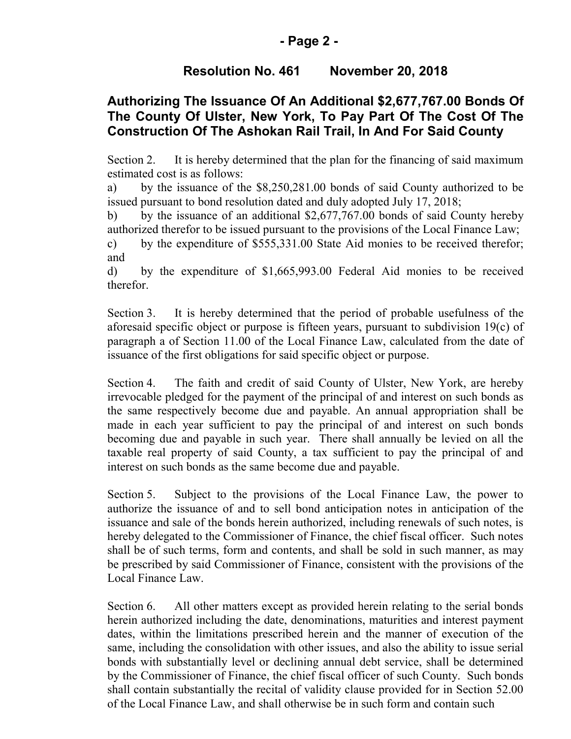## **- Page 2 -**

# **Resolution No. 461 November 20, 2018**

# **Authorizing The Issuance Of An Additional \$2,677,767.00 Bonds Of The County Of Ulster, New York, To Pay Part Of The Cost Of The Construction Of The Ashokan Rail Trail, In And For Said County**

Section 2. It is hereby determined that the plan for the financing of said maximum estimated cost is as follows:

a) by the issuance of the \$8,250,281.00 bonds of said County authorized to be issued pursuant to bond resolution dated and duly adopted July 17, 2018;

b) by the issuance of an additional \$2,677,767.00 bonds of said County hereby authorized therefor to be issued pursuant to the provisions of the Local Finance Law;

c) by the expenditure of \$555,331.00 State Aid monies to be received therefor; and

d) by the expenditure of \$1,665,993.00 Federal Aid monies to be received therefor.

Section 3. It is hereby determined that the period of probable usefulness of the aforesaid specific object or purpose is fifteen years, pursuant to subdivision 19(c) of paragraph a of Section 11.00 of the Local Finance Law, calculated from the date of issuance of the first obligations for said specific object or purpose.

Section 4. The faith and credit of said County of Ulster, New York, are hereby irrevocable pledged for the payment of the principal of and interest on such bonds as the same respectively become due and payable. An annual appropriation shall be made in each year sufficient to pay the principal of and interest on such bonds becoming due and payable in such year. There shall annually be levied on all the taxable real property of said County, a tax sufficient to pay the principal of and interest on such bonds as the same become due and payable.

Section 5. Subject to the provisions of the Local Finance Law, the power to authorize the issuance of and to sell bond anticipation notes in anticipation of the issuance and sale of the bonds herein authorized, including renewals of such notes, is hereby delegated to the Commissioner of Finance, the chief fiscal officer. Such notes shall be of such terms, form and contents, and shall be sold in such manner, as may be prescribed by said Commissioner of Finance, consistent with the provisions of the Local Finance Law.

Section 6. All other matters except as provided herein relating to the serial bonds herein authorized including the date, denominations, maturities and interest payment dates, within the limitations prescribed herein and the manner of execution of the same, including the consolidation with other issues, and also the ability to issue serial bonds with substantially level or declining annual debt service, shall be determined by the Commissioner of Finance, the chief fiscal officer of such County. Such bonds shall contain substantially the recital of validity clause provided for in Section 52.00 of the Local Finance Law, and shall otherwise be in such form and contain such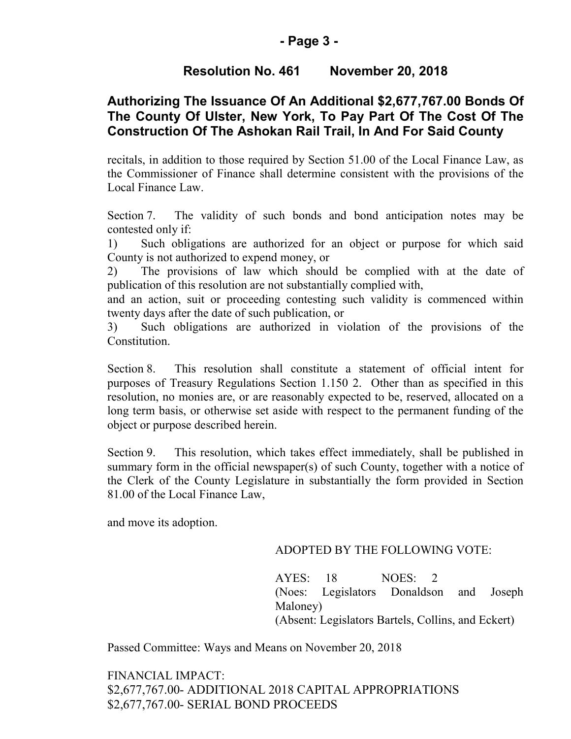### **- Page 3 -**

# **Resolution No. 461 November 20, 2018**

# **Authorizing The Issuance Of An Additional \$2,677,767.00 Bonds Of The County Of Ulster, New York, To Pay Part Of The Cost Of The Construction Of The Ashokan Rail Trail, In And For Said County**

recitals, in addition to those required by Section 51.00 of the Local Finance Law, as the Commissioner of Finance shall determine consistent with the provisions of the Local Finance Law.

Section 7. The validity of such bonds and bond anticipation notes may be contested only if:

1) Such obligations are authorized for an object or purpose for which said County is not authorized to expend money, or

2) The provisions of law which should be complied with at the date of publication of this resolution are not substantially complied with,

and an action, suit or proceeding contesting such validity is commenced within twenty days after the date of such publication, or

3) Such obligations are authorized in violation of the provisions of the Constitution.

Section 8. This resolution shall constitute a statement of official intent for purposes of Treasury Regulations Section 1.150 2. Other than as specified in this resolution, no monies are, or are reasonably expected to be, reserved, allocated on a long term basis, or otherwise set aside with respect to the permanent funding of the object or purpose described herein.

Section 9. This resolution, which takes effect immediately, shall be published in summary form in the official newspaper(s) of such County, together with a notice of the Clerk of the County Legislature in substantially the form provided in Section 81.00 of the Local Finance Law,

and move its adoption.

#### ADOPTED BY THE FOLLOWING VOTE:

AYES: 18 NOES: 2 (Noes: Legislators Donaldson and Joseph Maloney) (Absent: Legislators Bartels, Collins, and Eckert)

Passed Committee: Ways and Means on November 20, 2018

FINANCIAL IMPACT: \$2,677,767.00- ADDITIONAL 2018 CAPITAL APPROPRIATIONS \$2,677,767.00- SERIAL BOND PROCEEDS